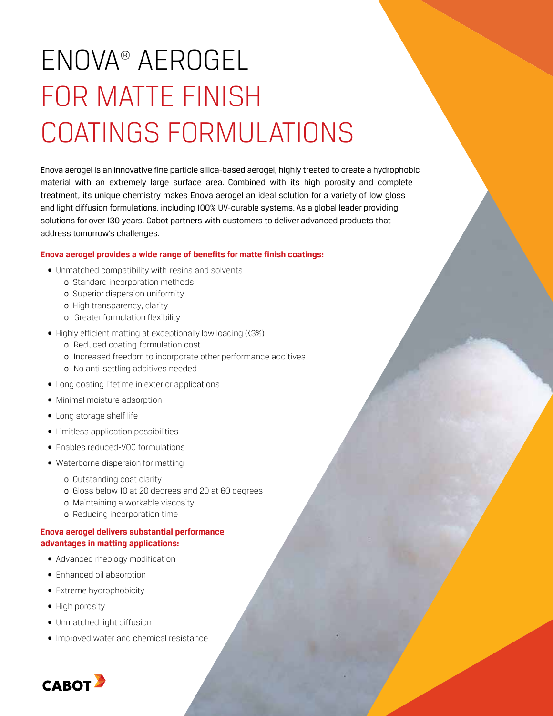# ENOVA® aerogel FOR MATTE FINISH COATINGS FORMULATIONS

Enova aerogel is an innovative fine particle silica-based aerogel, highly treated to create a hydrophobic material with an extremely large surface area. Combined with its high porosity and complete treatment, its unique chemistry makes Enova aerogel an ideal solution for a variety of low gloss and light diffusion formulations, including 100% UV-curable systems. As a global leader providing solutions for over 130 years, Cabot partners with customers to deliver advanced products that address tomorrow's challenges.

### **Enova aerogel provides a wide range of benefits for matte finish coatings:**

- Unmatched compatibility with resins and solvents
	- o Standard incorporation methods
	- o Superior dispersion uniformity
	- o High transparency, clarity
	- o Greater formulation flexibility
- Highly efficient matting at exceptionally low loading (<3%)
	- o Reduced coating formulation cost
	- o Increased freedom to incorporate other performance additives
	- o No anti-settling additives needed
- Long coating lifetime in exterior applications
- Minimal moisture adsorption
- Long storage shelf life
- Limitless application possibilities
- Enables reduced-VOC formulations
- Waterborne dispersion for matting
	- o Outstanding coat clarity
	- o Gloss below 10 at 20 degrees and 20 at 60 degrees
	- o Maintaining a workable viscosity
	- o Reducing incorporation time

### **Enova aerogel delivers substantial performance advantages in matting applications:**

- Advanced rheology modification
- Enhanced oil absorption
- Extreme hydrophobicity
- High porosity
- Unmatched light diffusion
- Improved water and chemical resistance